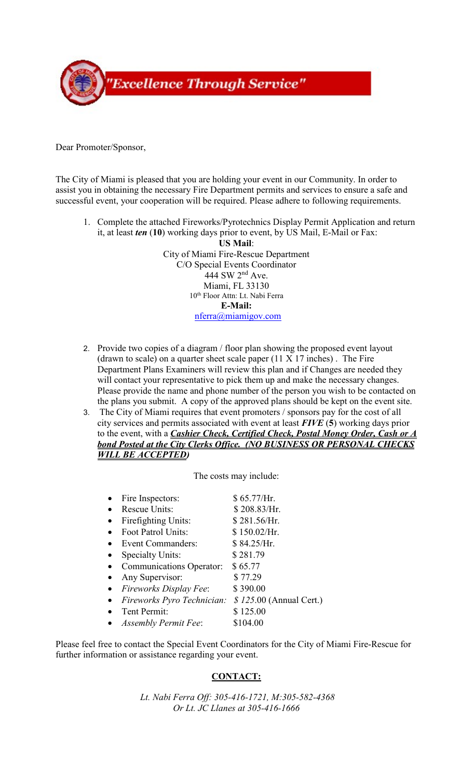

Dear Promoter/Sponsor,

The City of Miami is pleased that you are holding your event in our Community. In order to assist you in obtaining the necessary Fire Department permits and services to ensure a safe and successful event, your cooperation will be required. Please adhere to following requirements.

1. Complete the attached Fireworks/Pyrotechnics Display Permit Application and return it, at least *ten* (**10**) working days prior to event, by US Mail, E-Mail or Fax:

> 444 SW 2<sup>nd</sup> Ave. 10th Floor Attn: Lt. Nabi Ferra **US Mail**: City of Miami Fire-Rescue Department C/O Special Events Coordinator Miami, FL 33130 **E-Mail:**  [nferra@miamigov.com](mailto:nferra@miamigov.com)

- will contact your representative to pick them up and make the necessary changes. 2. Provide two copies of a diagram / floor plan showing the proposed event layout (drawn to scale) on a quarter sheet scale paper  $(11 \times 17)$  inches). The Fire Department Plans Examiners will review this plan and if Changes are needed they Please provide the name and phone number of the person you wish to be contacted on the plans you submit. A copy of the approved plans should be kept on the event site.
- 3. The City of Miami requires that event promoters / sponsors pay for the cost of all city services and permits associated with event at least *FIVE* (**5**) working days prior *WILL BE ACCEPTED)* to the event, with a *Cashier Check, Certified Check, Postal Money Order, Cash or A bond Posted at the City Clerks Office. (NO BUSINESS OR PERSONAL CHECKS*

The costs may include:

| Fire Inspectors:                | \$65.77/Hr.             |
|---------------------------------|-------------------------|
| <b>Rescue Units:</b>            | \$208.83/Hr.            |
| Firefighting Units:             | \$281.56/Hr.            |
| Foot Patrol Units:              | \$150.02/Hr.            |
| Event Commanders:               | \$84.25/Hr.             |
| <b>Specialty Units:</b>         | \$281.79                |
| <b>Communications Operator:</b> | \$65.77                 |
| Any Supervisor:                 | \$77.29                 |
| <b>Fireworks Display Fee:</b>   | \$390.00                |
| Fireworks Pyro Technician:      | \$125.00 (Annual Cert.) |
| Tent Permit:                    | \$125.00                |
| <b>Assembly Permit Fee:</b>     | \$104.00                |

 further information or assistance regarding your event. Please feel free to contact the Special Event Coordinators for the City of Miami Fire-Rescue for

## **CONTACT:**

*Lt. Nabi Ferra Off: 305-416-1721, M:305-582-4368 Or Lt. JC Llanes at 305-416-1666*